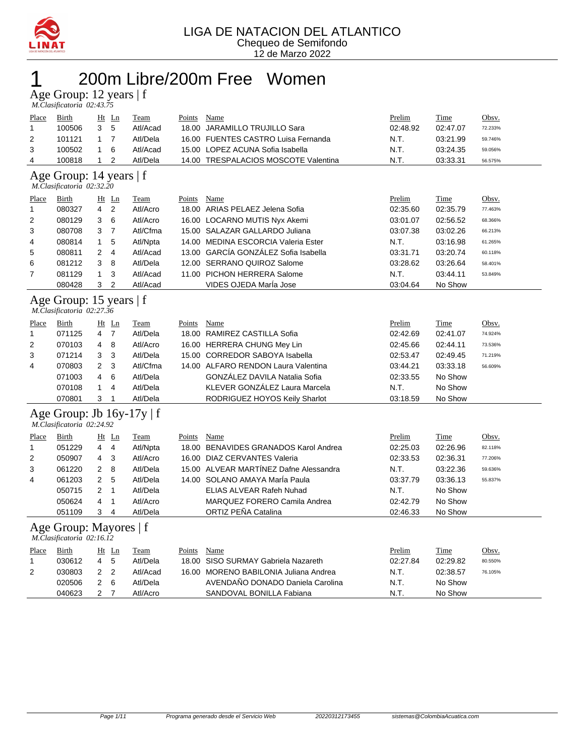

### 200m Libre/200m Free Women

Age Group: 12 years | f

 *M.Clasificatoria 02:43.75* 

| Place                                                  | Birth  |   | $Ht$ Ln        | Team     | Points | Name                                  | Prelim   | Time     | Obsv.   |  |  |  |
|--------------------------------------------------------|--------|---|----------------|----------|--------|---------------------------------------|----------|----------|---------|--|--|--|
|                                                        | 100506 | 3 | 5              | Atl/Acad | 18.00  | JARAMILLO TRUJILLO Sara               | 02:48.92 | 02:47.07 | 72.233% |  |  |  |
| 2                                                      | 101121 | 1 | - 7            | Atl/Dela | 16.00  | <b>FUENTES CASTRO Luisa Fernanda</b>  | N.T.     | 03:21.99 | 59.746% |  |  |  |
| 3                                                      | 100502 |   | 6              | Atl/Acad | 15.00  | LOPEZ ACUNA Sofia Isabella            | N.T.     | 03:24.35 | 59.056% |  |  |  |
| 4                                                      | 100818 |   | 2              | Atl/Dela | 14.00  | <b>TRESPALACIOS MOSCOTE Valentina</b> | N.T.     | 03:33.31 | 56.575% |  |  |  |
| Age Group: 14 years   f<br>M.Clasificatoria 02:32.20   |        |   |                |          |        |                                       |          |          |         |  |  |  |
| Place                                                  | Birth  |   | $Ht$ Ln        | Team     | Points | Name                                  | Prelim   | Time     | Obsv.   |  |  |  |
|                                                        | 080327 | 4 | -2             | Atl/Acro | 18.00  | ARIAS PELAEZ Jelena Sofia             | 02:35.60 | 02:35.79 | 77.463% |  |  |  |
| 2                                                      | 080129 | 3 | 6              | Atl/Acro |        | 16.00 LOCARNO MUTIS Nyx Akemi         | 03:01.07 | 02:56.52 | 68.366% |  |  |  |
| 3                                                      | 080708 | 3 | -7             | Atl/Cfma | 15.00  | SALAZAR GALLARDO Juliana              | 03:07.38 | 03:02.26 | 66.213% |  |  |  |
| 4                                                      | 080814 | 1 | 5              | Atl/Npta | 14.00  | MEDINA ESCORCIA Valeria Ester         | N.T.     | 03:16.98 | 61.265% |  |  |  |
| 5                                                      | 080811 | 2 | 4              | Atl/Acad |        | 13.00 GARCÍA GONZÁLEZ Sofia Isabella  | 03:31.71 | 03:20.74 | 60.118% |  |  |  |
| 6                                                      | 081212 | 3 | 8              | Atl/Dela | 12.00  | <b>SERRANO QUIROZ Salome</b>          | 03:28.62 | 03:26.64 | 58.401% |  |  |  |
| 7                                                      | 081129 | 1 | 3              | Atl/Acad | 11.00  | <b>PICHON HERRERA Salome</b>          | N.T.     | 03:44.11 | 53.849% |  |  |  |
|                                                        | 080428 | 3 | $\overline{2}$ | Atl/Acad |        | VIDES OJEDA MarÍa Jose                | 03:04.64 | No Show  |         |  |  |  |
| Age Group: 15 years $ f $<br>M.Clasificatoria 02:27.36 |        |   |                |          |        |                                       |          |          |         |  |  |  |

| Place          | <b>Birth</b> |                | $Ht$ Ln        | <b>Team</b> | Points | Name                                 | Prelim   | Time     | Obsv.   |
|----------------|--------------|----------------|----------------|-------------|--------|--------------------------------------|----------|----------|---------|
| $\overline{1}$ | 071125       | 4              | 7              | Atl/Dela    |        | 18.00 RAMIREZ CASTILLA Sofia         | 02:42.69 | 02:41.07 | 74.924% |
| 2              | 070103       | $\overline{4}$ | -8             | Atl/Acro    |        | 16.00 HERRERA CHUNG Mey Lin          | 02:45.66 | 02:44.11 | 73.536% |
| 3              | 071214       | 3 <sub>3</sub> |                | Atl/Dela    |        | 15.00 CORREDOR SABOYA Isabella       | 02:53.47 | 02:49.45 | 71.219% |
| 4              | 070803       | 2 3            |                | Atl/Cfma    |        | 14.00 ALFARO RENDON Laura Valentina  | 03:44.21 | 03:33.18 | 56.609% |
|                | 071003       | 4              | - 6            | Atl/Dela    |        | <b>GONZÁLEZ DAVILA Natalia Sofia</b> | 02:33.55 | No Show  |         |
|                | 070108       |                | $\overline{4}$ | Atl/Dela    |        | KLEVER GONZÁLEZ Laura Marcela        | N.T.     | No Show  |         |
|                | 070801       | 3              |                | Atl/Dela    |        | RODRIGUEZ HOYOS Keily Sharlot        | 03:18.59 | No Show  |         |

#### Age Group: Jb 16y-17y | f  *M.Clasificatoria 02:24.92*

| Place       | Birth  |               | Ht Ln | Team     | Points | Name                                   | Prelim   | <b>Time</b> | Obsv.   |
|-------------|--------|---------------|-------|----------|--------|----------------------------------------|----------|-------------|---------|
| $\mathbf 1$ | 051229 | 4             | -4    | Atl/Npta |        | 18.00 BENAVIDES GRANADOS Karol Andrea  | 02:25.03 | 02:26.96    | 82.118% |
| 2           | 050907 | 4             | -3    | Atl/Acro |        | 16.00 DIAZ CERVANTES Valeria           | 02:33.53 | 02:36.31    | 77.206% |
| 3           | 061220 | 2             | 8     | Atl/Dela |        | 15.00 ALVEAR MARTÍNEZ Dafne Alessandra | N.T.     | 03:22.36    | 59.636% |
| 4           | 061203 | $\mathcal{P}$ | -5    | Atl/Dela |        | 14.00 SOLANO AMAYA MarÍa Paula         | 03:37.79 | 03:36.13    | 55.837% |
|             | 050715 |               |       | Atl/Dela |        | ELIAS ALVEAR Rafeh Nuhad               | N.T.     | No Show     |         |
|             | 050624 | 4             |       | Atl/Acro |        | MARQUEZ FORERO Camila Andrea           | 02:42.79 | No Show     |         |
|             | 051109 |               | 4     | Atl/Dela |        | ORTIZ PEÑA Catalina                    | 02:46.33 | No Show     |         |

#### Age Group: Mayores | f

|       | M.Clasificatoria 02:16.12 |         |          |        |                                       |          |             |         |  |  |  |  |  |
|-------|---------------------------|---------|----------|--------|---------------------------------------|----------|-------------|---------|--|--|--|--|--|
| Place | Birth                     | Ht Ln   | Team     | Points | Name                                  | Prelim   | <u>Time</u> | Obsv.   |  |  |  |  |  |
|       | 030612                    | -5<br>4 | Atl/Dela |        | 18.00 SISO SURMAY Gabriela Nazareth   | 02:27.84 | 02:29.82    | 80.550% |  |  |  |  |  |
| 2     | 030803                    |         | Atl/Acad |        | 16.00 MORENO BABILONIA Juliana Andrea | N.T.     | 02:38.57    | 76.105% |  |  |  |  |  |
|       | 020506                    | 2 6     | Atl/Dela |        | AVENDAÑO DONADO Daniela Carolina      | N.T.     | No Show     |         |  |  |  |  |  |
|       | 040623                    |         | Atl/Acro |        | SANDOVAL BONILLA Fabiana              | N.T.     | No Show     |         |  |  |  |  |  |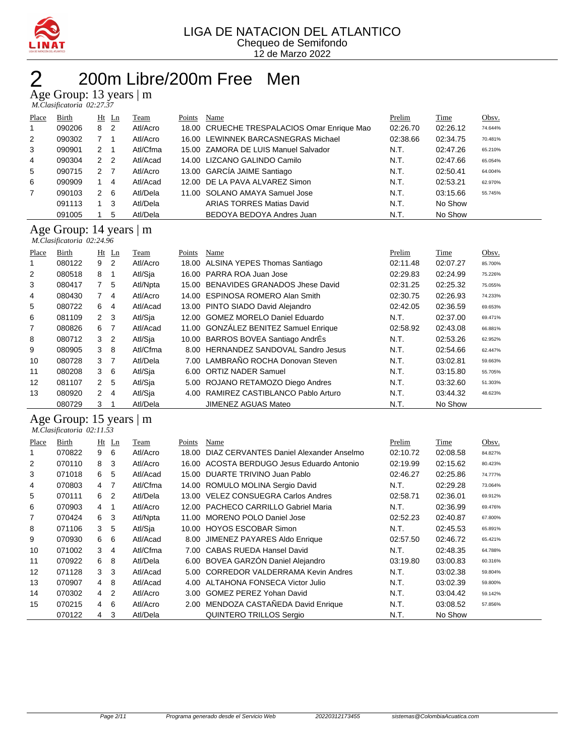

### 200m Libre/200m Free Men

Age Group: 13 years | m

|  | M.Clasificatoria 02:27.37 |  |
|--|---------------------------|--|

| Place          | Birth  |                      | $Ht$ Ln        | Team     | Points | Name                                        | Prelim   | Time     | Obsv.   |
|----------------|--------|----------------------|----------------|----------|--------|---------------------------------------------|----------|----------|---------|
|                | 090206 | 8                    | $\overline{2}$ | Atl/Acro |        | 18.00 CRUECHE TRESPALACIOS Omar Enrique Mao | 02:26.70 | 02:26.12 | 74.644% |
| 2              | 090302 |                      |                | Atl/Acro |        | 16.00 LEWINNEK BARCASNEGRAS Michael         | 02:38.66 | 02:34.75 | 70.481% |
| 3              | 090901 | 2                    |                | Atl/Cfma |        | 15.00 ZAMORA DE LUIS Manuel Salvador        | N.T.     | 02:47.26 | 65.210% |
| $\overline{4}$ | 090304 | 2 <sub>2</sub>       |                | Atl/Acad |        | 14.00 LIZCANO GALINDO Camilo                | N.T.     | 02:47.66 | 65.054% |
| 5              | 090715 | $\mathcal{P} \equiv$ | $\overline{7}$ | Atl/Acro |        | 13.00 GARCÍA JAIME Santiago                 | N.T.     | 02:50.41 | 64.004% |
| 6              | 090909 |                      | -4             | Atl/Acad |        | 12.00 DE LA PAVA ALVAREZ Simon              | N.T.     | 02:53.21 | 62.970% |
| $\overline{7}$ | 090103 | 2                    | -6             | Atl/Dela |        | 11.00 SOLANO AMAYA Samuel Jose              | N.T.     | 03:15.66 | 55.745% |
|                | 091113 |                      | 3              | Atl/Dela |        | <b>ARIAS TORRES Matias David</b>            | N.T.     | No Show  |         |
|                | 091005 |                      | 5              | Atl/Dela |        | BEDOYA BEDOYA Andres Juan                   | N.T.     | No Show  |         |

#### Age Group: 14 years | m

|       | M.Clasificatoria 02:24.96 |                |                |          |        |                                       |          |          |         |  |  |  |
|-------|---------------------------|----------------|----------------|----------|--------|---------------------------------------|----------|----------|---------|--|--|--|
| Place | Birth                     |                | $Ht$ Ln        | Team     | Points | Name                                  | Prelim   | Time     | Obsv.   |  |  |  |
|       | 080122                    | 9              | $\overline{2}$ | Atl/Acro |        | 18.00 ALSINA YEPES Thomas Santiago    | 02:11.48 | 02:07.27 | 85.700% |  |  |  |
| 2     | 080518                    | 8              | -1             | Atl/Sia  |        | 16.00 PARRA ROA Juan Jose             | 02:29.83 | 02:24.99 | 75.226% |  |  |  |
| 3     | 080417                    | $7^{\circ}$    | -5             | Atl/Npta |        | 15.00 BENAVIDES GRANADOS Jhese David  | 02:31.25 | 02:25.32 | 75.055% |  |  |  |
| 4     | 080430                    | $\overline{7}$ | 4              | Atl/Acro |        | 14.00 ESPINOSA ROMERO Alan Smith      | 02:30.75 | 02:26.93 | 74.233% |  |  |  |
| 5     | 080722                    | 6              | 4              | Atl/Acad |        | 13.00 PINTO SIADO David Alejandro     | 02:42.05 | 02:36.59 | 69.653% |  |  |  |
| 6     | 081109                    | $\overline{2}$ | - 3            | Atl/Sja  |        | 12.00 GOMEZ MORELO Daniel Eduardo     | N.T.     | 02:37.00 | 69.471% |  |  |  |
| 7     | 080826                    | 6              | $\overline{7}$ | Atl/Acad |        | 11.00 GONZÁLEZ BENITEZ Samuel Enrique | 02:58.92 | 02:43.08 | 66.881% |  |  |  |
| 8     | 080712                    | 3              | $\overline{2}$ | Atl/Sja  |        | 10.00 BARROS BOVEA Santiago AndrEs    | N.T.     | 02:53.26 | 62.952% |  |  |  |
| 9     | 080905                    | 3              | -8             | Atl/Cfma |        | 8.00 HERNANDEZ SANDOVAL Sandro Jesus  | N.T.     | 02:54.66 | 62.447% |  |  |  |
| 10    | 080728                    | 3              | $\overline{7}$ | Atl/Dela |        | 7.00 LAMBRAÑO ROCHA Donovan Steven    | N.T.     | 03:02.81 | 59.663% |  |  |  |
| 11    | 080208                    | 3              | - 6            | Atl/Sia  | 6.00   | <b>ORTIZ NADER Samuel</b>             | N.T.     | 03:15.80 | 55.705% |  |  |  |
| 12    | 081107                    | $2^{\circ}$    | 5              | Atl/Sia  |        | 5.00 ROJANO RETAMOZO Diego Andres     | N.T.     | 03:32.60 | 51.303% |  |  |  |
| 13    | 080920                    | $\mathbf{2}$   | $\overline{4}$ | Atl/Sja  | 4.00   | RAMIREZ CASTIBLANCO Pablo Arturo      | N.T.     | 03:44.32 | 48.623% |  |  |  |
|       | 080729                    | 3              |                | Atl/Dela |        | <b>JIMENEZ AGUAS Mateo</b>            | N.T.     | No Show  |         |  |  |  |

#### Age Group: 15 years | m

 *M.Clasificatoria 02:11.53* 

| Place | Birth  |                | $Ht$ Ln        | Team     | Points | Name                                    | Prelim   | Time     | Obsv.   |
|-------|--------|----------------|----------------|----------|--------|-----------------------------------------|----------|----------|---------|
|       | 070822 | 9              | 6              | Atl/Acro | 18.00  | DIAZ CERVANTES Daniel Alexander Anselmo | 02:10.72 | 02:08.58 | 84.827% |
| 2     | 070110 | 8              | -3             | Atl/Acro | 16.00  | ACOSTA BERDUGO Jesus Eduardo Antonio    | 02:19.99 | 02:15.62 | 80.423% |
| 3     | 071018 | 6              | 5              | Atl/Acad | 15.00  | DUARTE TRIVINO Juan Pablo               | 02:46.27 | 02:25.86 | 74.777% |
| 4     | 070803 | 4              | 7              | Atl/Cfma | 14.00  | ROMULO MOLINA Sergio David              | N.T.     | 02:29.28 | 73.064% |
| 5     | 070111 | 6              | $\overline{2}$ | Atl/Dela | 13.00  | VELEZ CONSUEGRA Carlos Andres           | 02:58.71 | 02:36.01 | 69.912% |
| 6     | 070903 | 4              |                | Atl/Acro | 12.00  | <b>PACHECO CARRILLO Gabriel Maria</b>   | N.T.     | 02:36.99 | 69.476% |
| 7     | 070424 | 6              | -3             | Atl/Npta | 11.00  | MORENO POLO Daniel Jose                 | 02:52.23 | 02:40.87 | 67.800% |
| 8     | 071106 | 3              | 5              | Atl/Sia  | 10.00  | <b>HOYOS ESCOBAR Simon</b>              | N.T.     | 02:45.53 | 65.891% |
| 9     | 070930 | 6              | 6              | Atl/Acad | 8.00   | JIMENEZ PAYARES Aldo Enrique            | 02:57.50 | 02:46.72 | 65.421% |
| 10    | 071002 | 3              | 4              | Atl/Cfma | 7.00   | CABAS RUEDA Hansel David                | N.T.     | 02:48.35 | 64.788% |
| 11    | 070922 | 6              | 8              | Atl/Dela | 6.00   | BOVEA GARZÓN Daniel Alejandro           | 03:19.80 | 03:00.83 | 60.316% |
| 12    | 071128 | 3              | -3             | Atl/Acad | 5.00   | <b>CORREDOR VALDERRAMA Kevin Andres</b> | N.T.     | 03:02.38 | 59.804% |
| 13    | 070907 | $\overline{4}$ | -8             | Atl/Acad | 4.00   | ALTAHONA FONSECA Victor Julio           | N.T.     | 03:02.39 | 59.800% |
| 14    | 070302 | $\overline{4}$ | $\overline{2}$ | Atl/Acro | 3.00   | <b>GOMEZ PEREZ Yohan David</b>          | N.T.     | 03:04.42 | 59.142% |
| 15    | 070215 | 4              | 6              | Atl/Acro | 2.00   | MENDOZA CASTAÑEDA David Enrique         | N.T.     | 03:08.52 | 57.856% |
|       | 070122 | 4              | 3              | Atl/Dela |        | QUINTERO TRILLOS Sergio                 | N.T.     | No Show  |         |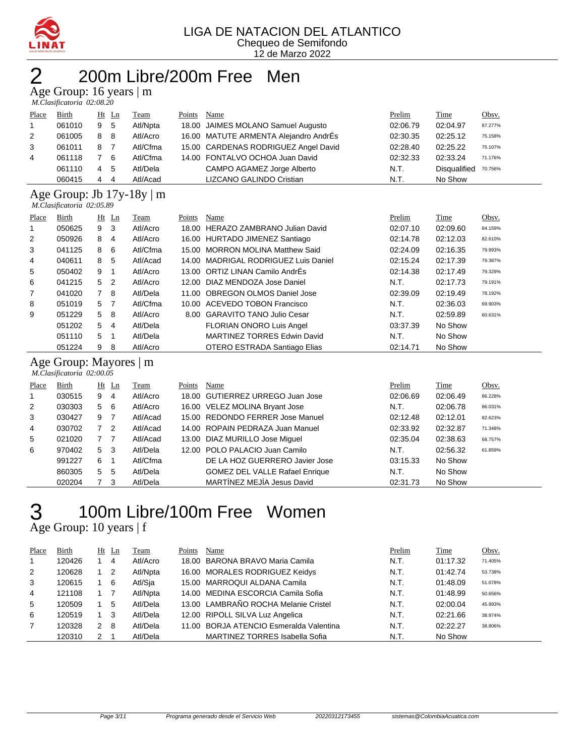

#### LIGA DE NATACION DEL ATLANTICO Chequeo de Semifondo 12 de Marzo 2022

## 200m Libre/200m Free Men

Age Group: 16 years | m

|                | M.Clasificatoria 02:08.20 |   |         |             |        |                                       |          |                     |         |  |  |  |
|----------------|---------------------------|---|---------|-------------|--------|---------------------------------------|----------|---------------------|---------|--|--|--|
| Place          | <b>Birth</b>              |   | $Ht$ Ln | <b>Team</b> | Points | Name                                  | Prelim   | <b>Time</b>         | Obsv.   |  |  |  |
| $\overline{1}$ | 061010                    | 9 | -5      | Atl/Npta    |        | 18.00 JAIMES MOLANO Samuel Augusto    | 02:06.79 | 02:04.97            | 87.277% |  |  |  |
| 2              | 061005                    | 8 | -8      | Atl/Acro    |        | 16.00 MATUTE ARMENTA Alejandro AndrÉs | 02:30.35 | 02:25.12            | 75.158% |  |  |  |
| 3              | 061011                    | 8 | 7       | Atl/Cfma    |        | 15.00 CARDENAS RODRIGUEZ Angel David  | 02:28.40 | 02:25.22            | 75.107% |  |  |  |
| 4              | 061118                    |   | -6      | Atl/Cfma    |        | 14.00 FONTALVO OCHOA Juan David       | 02:32.33 | 02:33.24            | 71.176% |  |  |  |
|                | 061110                    | 4 | 5       | Atl/Dela    |        | CAMPO AGAMEZ Jorge Alberto            | N.T.     | <b>Disqualified</b> | 70.756% |  |  |  |
|                | 060415                    | 4 | -4      | Atl/Acad    |        | LIZCANO GALINDO Cristian              | N.T.     | No Show             |         |  |  |  |

#### Age Group: Jb 17y-18y | m  *M.Clasificatoria 02:05.89*

|                | $11. C. 11. C. 11. C. 11. C. 11. C. 11. C. 11. C. 11. C. 11. C. 11. C. 11. C. 11. C. 11. C. 11. C. 11. C. 11. C. 11. C. 11. C. 11. C. 11. C. 11. C. 11. C. 11. C. 11. C. 11. C. 11. C. 11. C. 11. C. 11. C. 11. C. 11. C. 11. C. 11. C. 11. C. 11. C. 11. C. 11. C$ |                |         |          |        |                                      |          |          |         |  |  |  |
|----------------|---------------------------------------------------------------------------------------------------------------------------------------------------------------------------------------------------------------------------------------------------------------------|----------------|---------|----------|--------|--------------------------------------|----------|----------|---------|--|--|--|
| Place          | Birth                                                                                                                                                                                                                                                               |                | $Ht$ Ln | Team     | Points | Name                                 | Prelim   | Time     | Obsv.   |  |  |  |
| 1              | 050625                                                                                                                                                                                                                                                              | 9              | - 3     | Atl/Acro |        | 18.00 HERAZO ZAMBRANO Julian David   | 02:07.10 | 02:09.60 | 84.159% |  |  |  |
| $\overline{2}$ | 050926                                                                                                                                                                                                                                                              | 8              | 4       | Atl/Acro |        | 16.00 HURTADO JIMENEZ Santiago       | 02:14.78 | 02:12.03 | 82.610% |  |  |  |
| 3              | 041125                                                                                                                                                                                                                                                              | 8              | - 6     | Atl/Cfma |        | 15.00 MORRON MOLINA Matthew Said     | 02:24.09 | 02:16.35 | 79.993% |  |  |  |
| 4              | 040611                                                                                                                                                                                                                                                              | 8              | -5      | Atl/Acad |        | 14.00 MADRIGAL RODRIGUEZ Luis Daniel | 02:15.24 | 02:17.39 | 79.387% |  |  |  |
| 5              | 050402                                                                                                                                                                                                                                                              | 9              |         | Atl/Acro |        | 13.00 ORTIZ LINAN Camilo AndrÉs      | 02:14.38 | 02:17.49 | 79.329% |  |  |  |
| 6              | 041215                                                                                                                                                                                                                                                              | 5 <sub>2</sub> |         | Atl/Acro |        | 12.00 DIAZ MENDOZA Jose Daniel       | N.T.     | 02:17.73 | 79.191% |  |  |  |
| $\overline{7}$ | 041020                                                                                                                                                                                                                                                              | 7 8            |         | Atl/Dela |        | 11.00 OBREGON OLMOS Daniel Jose      | 02:39.09 | 02:19.49 | 78.192% |  |  |  |
| 8              | 051019                                                                                                                                                                                                                                                              | 5 <sub>7</sub> |         | Atl/Cfma |        | 10.00 ACEVEDO TOBON Francisco        | N.T.     | 02:36.03 | 69.903% |  |  |  |
| 9              | 051229                                                                                                                                                                                                                                                              | 5 8            |         | Atl/Acro |        | 8.00 GARAVITO TANO Julio Cesar       | N.T.     | 02:59.89 | 60.631% |  |  |  |
|                | 051202                                                                                                                                                                                                                                                              | 5              | -4      | Atl/Dela |        | <b>FLORIAN ONORO Luis Angel</b>      | 03:37.39 | No Show  |         |  |  |  |
|                | 051110                                                                                                                                                                                                                                                              | 5              |         | Atl/Dela |        | <b>MARTINEZ TORRES Edwin David</b>   | N.T.     | No Show  |         |  |  |  |
|                | 051224                                                                                                                                                                                                                                                              | 9              | 8       | Atl/Acro |        | OTERO ESTRADA Santiago Elias         | 02:14.71 | No Show  |         |  |  |  |

#### Age Group: Mayores | m  *M.Clasificatoria 02:00.05*

|             | $11. C. 11. C. 11. C. 11. C. 11. C. 11. C. 11. C. 11. C. 11. C. 11. C. 11. C. 11. C. 11. C. 11. C. 11. C. 11. C. 11. C. 11. C. 11. C. 11. C. 11. C. 11. C. 11. C. 11. C. 11. C. 11. C. 11. C. 11. C. 11. C. 11. C. 11. C. 11. C. 11. C. 11. C. 11. C. 11. C. 11. C$ |              |                |             |        |                                       |          |             |         |  |  |
|-------------|---------------------------------------------------------------------------------------------------------------------------------------------------------------------------------------------------------------------------------------------------------------------|--------------|----------------|-------------|--------|---------------------------------------|----------|-------------|---------|--|--|
| Place       | Birth                                                                                                                                                                                                                                                               |              | $Ht$ Ln        | <b>Team</b> | Points | Name                                  | Prelim   | <b>Time</b> | Obsv.   |  |  |
| $\mathbf 1$ | 030515                                                                                                                                                                                                                                                              | 9            | 4              | Atl/Acro    |        | 18.00 GUTIERREZ URREGO Juan Jose      | 02:06.69 | 02:06.49    | 86.228% |  |  |
| 2           | 030303                                                                                                                                                                                                                                                              | 5 6          |                | Atl/Acro    |        | 16.00 VELEZ MOLINA Bryant Jose        | N.T.     | 02:06.78    | 86.031% |  |  |
| 3           | 030427                                                                                                                                                                                                                                                              | 9            | $\overline{7}$ | Atl/Acad    |        | 15.00 REDONDO FERRER Jose Manuel      | 02:12.48 | 02:12.01    | 82.623% |  |  |
| 4           | 030702                                                                                                                                                                                                                                                              | $\mathbf{7}$ | -2             | Atl/Acad    |        | 14.00 ROPAIN PEDRAZA Juan Manuel      | 02:33.92 | 02:32.87    | 71.348% |  |  |
| 5           | 021020                                                                                                                                                                                                                                                              | 7 7          |                | Atl/Acad    |        | 13.00 DIAZ MURILLO Jose Miquel        | 02:35.04 | 02:38.63    | 68.757% |  |  |
| 6           | 970402                                                                                                                                                                                                                                                              | 5            | - 3            | Atl/Dela    |        | 12.00 POLO PALACIO Juan Camilo        | N.T.     | 02:56.32    | 61.859% |  |  |
|             | 991227                                                                                                                                                                                                                                                              | 6            |                | Atl/Cfma    |        | DE LA HOZ GUERRERO Javier Jose        | 03:15.33 | No Show     |         |  |  |
|             | 860305                                                                                                                                                                                                                                                              | 5            | -5             | Atl/Dela    |        | <b>GOMEZ DEL VALLE Rafael Enrique</b> | N.T.     | No Show     |         |  |  |
|             | 020204                                                                                                                                                                                                                                                              |              | 3              | Atl/Dela    |        | MARTÍNEZ MEJÍA Jesus David            | 02:31.73 | No Show     |         |  |  |

### 100m Libre/100m Free Women  $\begin{array}{c} 3 \hspace{-2mm} \text{Age Group: } 10 \text{ years} \mid f \\ \end{array}$

| Place | Birth  |   | $Ht$ Ln | Team     | Points | Name                                    | Prelim | <b>Time</b> | Obsv.   |
|-------|--------|---|---------|----------|--------|-----------------------------------------|--------|-------------|---------|
|       | 120426 |   | 4       | Atl/Acro |        | 18.00 BARONA BRAVO Maria Camila         | N.T.   | 01:17.32    | 71.405% |
| 2     | 120628 |   | - 2     | Atl/Npta |        | 16.00 MORALES RODRIGUEZ Keidys          | N.T.   | 01:42.74    | 53.738% |
| 3     | 120615 |   | - 6     | Atl/Sja  |        | 15.00 MARROQUI ALDANA Camila            | N.T.   | 01:48.09    | 51.078% |
| 4     | 121108 |   |         | Atl/Npta |        | 14.00 MEDINA ESCORCIA Camila Sofia      | N.T.   | 01:48.99    | 50.656% |
| -5    | 120509 |   | 5       | Atl/Dela |        | 13.00 LAMBRAÑO ROCHA Melanie Cristel    | N.T.   | 02:00.04    | 45.993% |
| 6     | 120519 |   | - 3     | Atl/Dela |        | 12.00 RIPOLL SILVA Luz Angelica         | N.T.   | 02:21.66    | 38.974% |
|       | 120328 | 2 | -8      | Atl/Dela |        | 11.00 BORJA ATENCIO Esmeralda Valentina | N.T.   | 02:22.27    | 38.806% |
|       | 120310 | 2 |         | Atl/Dela |        | <b>MARTINEZ TORRES Isabella Sofia</b>   | N.T.   | No Show     |         |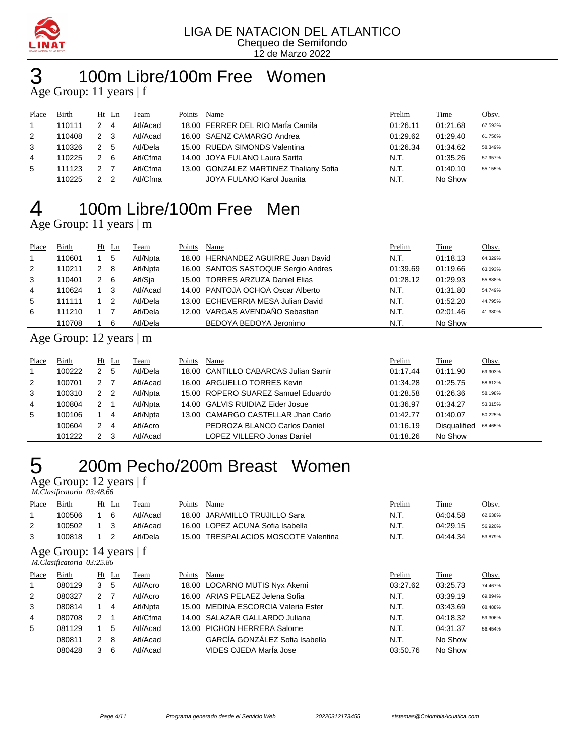

## 100m Libre/100m Free Women

Age Group: 11 years | f

| Place | Birth  |                | $Ht$ Ln | Team     | Points | Name                                   | Prelim   | <b>Time</b> | Obsv.   |
|-------|--------|----------------|---------|----------|--------|----------------------------------------|----------|-------------|---------|
|       | 110111 |                | -4      | Atl/Acad |        | 18.00 FERRER DEL RIO MarÍa Camila      | 01:26.11 | 01:21.68    | 67.593% |
| 2     | 110408 | 2 3            |         | Atl/Acad |        | 16.00 SAENZ CAMARGO Andrea             | 01:29.62 | 01:29.40    | 61.756% |
| 3     | 110326 | 2 5            |         | Atl/Dela |        | 15.00 RUEDA SIMONDS Valentina          | 01:26.34 | 01:34.62    | 58.349% |
| 4     | 110225 | 2 6            |         | Atl/Cfma |        | 14.00 JOYA FULANO Laura Sarita         | N.T.     | 01:35.26    | 57.957% |
| 5     | 111123 | 2 <sub>7</sub> |         | Atl/Cfma |        | 13.00 GONZALEZ MARTINEZ Thaliany Sofia | N.T.     | 01:40.10    | 55.155% |
|       | 110225 |                |         | Atl/Cfma |        | JOYA FULANO Karol Juanita              | N.T.     | No Show     |         |

# 100m Libre/100m Free Men

Age Group: 11 years | m

| Place        | Birth  |   | $Ht$ Ln | Team     | Points | Name                                | Prelim   | Time     | <u>Obsv.</u> |
|--------------|--------|---|---------|----------|--------|-------------------------------------|----------|----------|--------------|
| $\mathbf{1}$ | 110601 |   | 5       | Atl/Npta |        | 18.00 HERNANDEZ AGUIRRE Juan David  | N.T.     | 01:18.13 | 64.329%      |
| 2            | 110211 | 2 | -8      | Atl/Npta |        | 16.00 SANTOS SASTOQUE Sergio Andres | 01:39.69 | 01:19.66 | 63.093%      |
| 3            | 110401 | 2 | - 6     | Atl/Sja  |        | 15.00 TORRES ARZUZA Daniel Elias    | 01:28.12 | 01:29.93 | 55.888%      |
| 4            | 110624 |   | -3      | Atl/Acad |        | 14.00 PANTOJA OCHOA Oscar Alberto   | N.T.     | 01:31.80 | 54.749%      |
| 5            | 111111 |   | -2      | Atl/Dela |        | 13.00 ECHEVERRIA MESA Julian David  | N.T.     | 01:52.20 | 44.795%      |
| 6            | 111210 |   |         | Atl/Dela |        | 12.00 VARGAS AVENDAÑO Sebastian     | N.T.     | 02:01.46 | 41.380%      |
|              | 110708 |   | 6       | Atl/Dela |        | BEDOYA BEDOYA Jeronimo              | N.T.     | No Show  |              |

### Age Group: 12 years | m

| Place | Birth  |                | $Ht$ Ln                 | Team     | Points | Name                                 | Prelim   | Time                | Obsv.   |
|-------|--------|----------------|-------------------------|----------|--------|--------------------------------------|----------|---------------------|---------|
|       | 100222 | 2              | 5                       | Atl/Dela |        | 18.00 CANTILLO CABARCAS Julian Samir | 01:17.44 | 01:11.90            | 69.903% |
| 2     | 100701 | $\mathcal{P}$  |                         | Atl/Acad |        | 16.00 ARGUELLO TORRES Kevin          | 01:34.28 | 01:25.75            | 58.612% |
| 3     | 100310 | 2 <sub>2</sub> |                         | Atl/Npta |        | 15.00 ROPERO SUAREZ Samuel Eduardo   | 01:28.58 | 01:26.36            | 58.198% |
| 4     | 100804 | 2              |                         | Atl/Npta |        | 14.00 GALVIS RUIDIAZ Eider Josue     | 01:36.97 | 01:34.27            | 53.315% |
| 5     | 100106 |                | -4                      | Atl/Npta |        | 13.00 CAMARGO CASTELLAR Jhan Carlo   | 01:42.77 | 01:40.07            | 50.225% |
|       | 100604 | 2              | $\overline{\mathbf{4}}$ | Atl/Acro |        | PEDROZA BLANCO Carlos Daniel         | 01:16.19 | <b>Disqualified</b> | 68.465% |
|       | 101222 | 2              |                         | Atl/Acad |        | LOPEZ VILLERO Jonas Daniel           | 01:18.26 | No Show             |         |

### 200m Pecho/200m Breast Women

Age Group: 12 years | f

|       | M.Clasificatoria 03:48.66 |  |       |          |        |                                      |               |          |         |  |  |  |
|-------|---------------------------|--|-------|----------|--------|--------------------------------------|---------------|----------|---------|--|--|--|
| Place | Birth                     |  | Ht Ln | Team     | Points | Name                                 | <u>Prelim</u> | Time     | Obsv.   |  |  |  |
|       | 100506                    |  | -6    | Atl/Acad |        | 18.00 JARAMILLO TRUJILLO Sara        | N.T.          | 04:04.58 | 62.638% |  |  |  |
| 2     | 100502                    |  | - 3   | Atl/Acad |        | 16.00 LOPEZ ACUNA Sofia Isabella     | N.T.          | 04:29.15 | 56.920% |  |  |  |
|       | 100818                    |  |       | Atl/Dela |        | 15.00 TRESPALACIOS MOSCOTE Valentina | N.T.          | 04:44.34 | 53.879% |  |  |  |
|       |                           |  |       |          |        |                                      |               |          |         |  |  |  |

Age Group: 14 years | f

|       | M.Clasificatoria 03:25.86 |   |         |          |        |                                     |          |             |         |  |  |  |
|-------|---------------------------|---|---------|----------|--------|-------------------------------------|----------|-------------|---------|--|--|--|
| Place | Birth                     |   | $Ht$ Ln | Team     | Points | Name                                | Prelim   | <b>Time</b> | Obsv.   |  |  |  |
|       | 080129                    | 3 | -5      | Atl/Acro |        | 18.00 LOCARNO MUTIS Nyx Akemi       | 03:27.62 | 03:25.73    | 74.467% |  |  |  |
| 2     | 080327                    | 2 |         | Atl/Acro |        | 16.00 ARIAS PELAEZ Jelena Sofia     | N.T.     | 03:39.19    | 69.894% |  |  |  |
| 3     | 080814                    |   | 4       | Atl/Npta |        | 15.00 MEDINA ESCORCIA Valeria Ester | N.T.     | 03:43.69    | 68.488% |  |  |  |
| 4     | 080708                    | 2 |         | Atl/Cfma |        | 14.00 SALAZAR GALLARDO Juliana      | N.T.     | 04:18.32    | 59.306% |  |  |  |
| 5     | 081129                    |   | 5       | Atl/Acad |        | 13.00 PICHON HERRERA Salome         | N.T.     | 04:31.37    | 56.454% |  |  |  |
|       | 080811                    | 2 | -8      | Atl/Acad |        | GARCÍA GONZÁLEZ Sofia Isabella      | N.T.     | No Show     |         |  |  |  |
|       | 080428                    | 3 | -6      | Atl/Acad |        | VIDES OJEDA MarÍa Jose              | 03:50.76 | No Show     |         |  |  |  |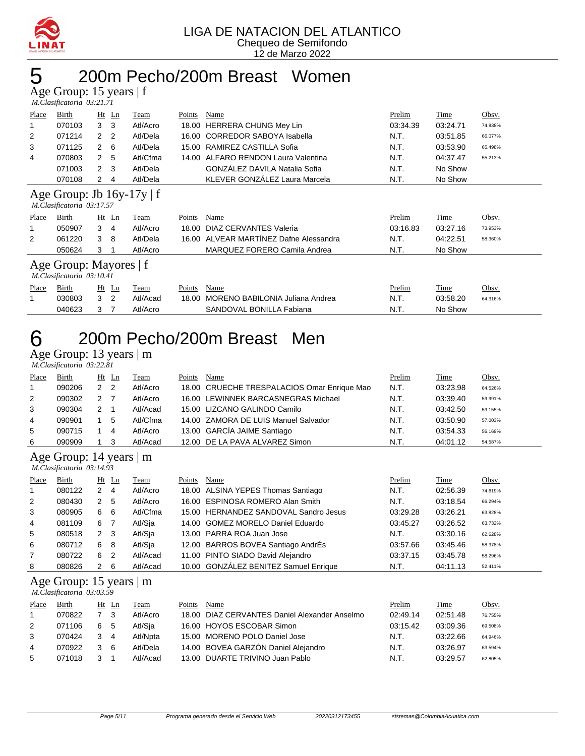

### 5 200m Pecho/200m Breast Women

Age Group: 15 years | f  *M.Clasificatoria 03:21.71* 

| Place | Birth                                                       | Ht            | Ln             | Team     | Points | Name                             | Prelim   | Time     | Obsv.   |  |  |
|-------|-------------------------------------------------------------|---------------|----------------|----------|--------|----------------------------------|----------|----------|---------|--|--|
|       | 070103                                                      | 3             | 3              | Atl/Acro | 18.00  | <b>HERRERA CHUNG Mey Lin</b>     | 03:34.39 | 03:24.71 | 74.838% |  |  |
| 2     | 071214                                                      | 2             | 2              | Atl/Dela | 16.00  | <b>CORREDOR SABOYA Isabella</b>  | N.T.     | 03:51.85 | 66.077% |  |  |
| 3     | 071125                                                      | 2             | 6              | Atl/Dela | 15.00  | RAMIREZ CASTILLA Sofia           | N.T.     | 03:53.90 | 65.498% |  |  |
| 4     | 070803                                                      | 2             | -5             | Atl/Cfma | 14.00  | ALFARO RENDON Laura Valentina    | N.T.     | 04:37.47 | 55.213% |  |  |
|       | 071003                                                      | $\mathcal{P}$ | 3              | Atl/Dela |        | GONZÁLEZ DAVILA Natalia Sofia    | N.T.     | No Show  |         |  |  |
|       | 070108                                                      | 2             | 4              | Atl/Dela |        | KLEVER GONZÁLEZ Laura Marcela    | N.T.     | No Show  |         |  |  |
|       | Age Group: Jb $16y-17y \mid f$<br>M.Clasificatoria 03:17.57 |               |                |          |        |                                  |          |          |         |  |  |
|       |                                                             |               |                |          |        |                                  |          |          |         |  |  |
| Place | Birth                                                       |               | Ht Ln          | Team     | Points | Name                             | Prelim   | Time     | Obsv.   |  |  |
|       | 050907                                                      | 3             | 4              | Atl/Acro | 18.00  | DIAZ CERVANTES Valeria           | 03:16.83 | 03:27.16 | 73.953% |  |  |
| 2     | 061220                                                      | 3             | 8              | Atl/Dela | 16.00  | ALVEAR MARTÍNEZ Dafne Alessandra | N.T.     | 04:22.51 | 58.360% |  |  |
|       | 050624                                                      | 3             |                | Atl/Acro |        | MARQUEZ FORERO Camila Andrea     | N.T.     | No Show  |         |  |  |
|       | Age Group: Mayores   f<br>M.Clasificatoria 03:10.41         |               |                |          |        |                                  |          |          |         |  |  |
| Place | Birth                                                       |               | $Ht$ Ln        | Team     | Points | Name                             | Prelim   | Time     | Obsv.   |  |  |
|       | 030803                                                      | 3             | $\overline{2}$ | Atl/Acad | 18.00  | MORENO BABILONIA Juliana Andrea  | N.T.     | 03:58.20 | 64.316% |  |  |

### 6 200m Pecho/200m Breast Men

Age Group: 13 years | m  *M.Clasificatoria 03:22.81* 

| Place        | Birth  | Ht Ln                |   | Team     | Points | Name                                        | Prelim | Time     | <u>Obsv.</u> |
|--------------|--------|----------------------|---|----------|--------|---------------------------------------------|--------|----------|--------------|
| $\mathbf{1}$ | 090206 | 2 <sub>2</sub>       |   | Atl/Acro |        | 18.00 CRUECHE TRESPALACIOS Omar Enrique Mao | N.T.   | 03:23.98 | 64.526%      |
| 2            | 090302 | $\mathcal{P} \equiv$ |   | Atl/Acro |        | 16.00 LEWINNEK BARCASNEGRAS Michael         | N.T.   | 03:39.40 | 59.991%      |
| 3            | 090304 | 2                    |   | Atl/Acad |        | 15.00 LIZCANO GALINDO Camilo                | N.T.   | 03:42.50 | 59.155%      |
| 4            | 090901 |                      | 5 | Atl/Cfma |        | 14.00 ZAMORA DE LUIS Manuel Salvador        | N.T.   | 03:50.90 | 57.003%      |
| 5            | 090715 |                      | 4 | Atl/Acro |        | 13.00 GARCÍA JAIME Santiago                 | N.T.   | 03:54.33 | 56.169%      |
| 6            | 090909 |                      |   | Atl/Acad |        | 12.00 DE LA PAVA ALVAREZ Simon              | N.T.   | 04:01.12 | 54.587%      |
|              |        |                      |   |          |        |                                             |        |          |              |

Age Group: 14 years | m  *M.Clasificatoria 03:14.93* 

| Place          | Birth  |              | $Ht$ Ln | <b>Team</b> | Points | Name                                  | Prelim   | Time     | Obsv.   |
|----------------|--------|--------------|---------|-------------|--------|---------------------------------------|----------|----------|---------|
| $\mathbf{1}$   | 080122 | 2            | 4       | Atl/Acro    |        | 18.00 ALSINA YEPES Thomas Santiago    | N.T.     | 02:56.39 | 74.619% |
| 2              | 080430 | 2            | 5       | Atl/Acro    |        | 16.00 ESPINOSA ROMERO Alan Smith      | N.T.     | 03:18.54 | 66.294% |
| 3              | 080905 | 6            | -6      | Atl/Cfma    |        | 15.00 HERNANDEZ SANDOVAL Sandro Jesus | 03:29.28 | 03:26.21 | 63.828% |
| $\overline{4}$ | 081109 | 6            |         | Atl/Sja     |        | 14.00 GOMEZ MORELO Daniel Eduardo     | 03:45.27 | 03:26.52 | 63.732% |
| 5              | 080518 | $\mathbf{2}$ | - 3     | Atl/Sja     |        | 13.00 PARRA ROA Juan Jose             | N.T.     | 03:30.16 | 62.628% |
| 6              | 080712 | 6            | -8      | Atl/Sja     |        | 12.00 BARROS BOVEA Santiago AndrÉs    | 03:57.66 | 03:45.46 | 58.378% |
| $\overline{7}$ | 080722 | 6            | 2       | Atl/Acad    |        | 11.00 PINTO SIADO David Alejandro     | 03:37.15 | 03:45.78 | 58.296% |
| 8              | 080826 | 2            | -6      | Atl/Acad    |        | 10.00 GONZÁLEZ BENITEZ Samuel Enrique | N.T.     | 04:11.13 | 52.411% |

### Age Group: 15 years | m

| M.Clasificatoria 03:03.59 |  |
|---------------------------|--|
|---------------------------|--|

| Place          | Birth  |            | Ht Ln | l`eam    | Points | Name                                          | Prelim   | Time     | <u>Obsv.</u> |
|----------------|--------|------------|-------|----------|--------|-----------------------------------------------|----------|----------|--------------|
|                | 070822 |            | - 3   | Atl/Acro |        | 18.00 DIAZ CERVANTES Daniel Alexander Anselmo | 02:49.14 | 02:51.48 | 76.755%      |
| 2              | 071106 | 65         |       | Atl/Sia  |        | 16.00 HOYOS ESCOBAR Simon                     | 03:15.42 | 03:09.36 | 69.508%      |
| 3              | 070424 | $3\quad 4$ |       | Atl/Npta |        | 15.00 MORENO POLO Daniel Jose                 | N.T.     | 03:22.66 | 64.946%      |
| $\overline{4}$ | 070922 | 3.         | - 6   | Atl/Dela |        | 14.00 BOVEA GARZÓN Daniel Alejandro           | N.T.     | 03:26.97 | 63.594%      |
| 5              | 071018 |            |       | Atl/Acad |        | 13.00 DUARTE TRIVINO Juan Pablo               | N.T.     | 03:29.57 | 62.805%      |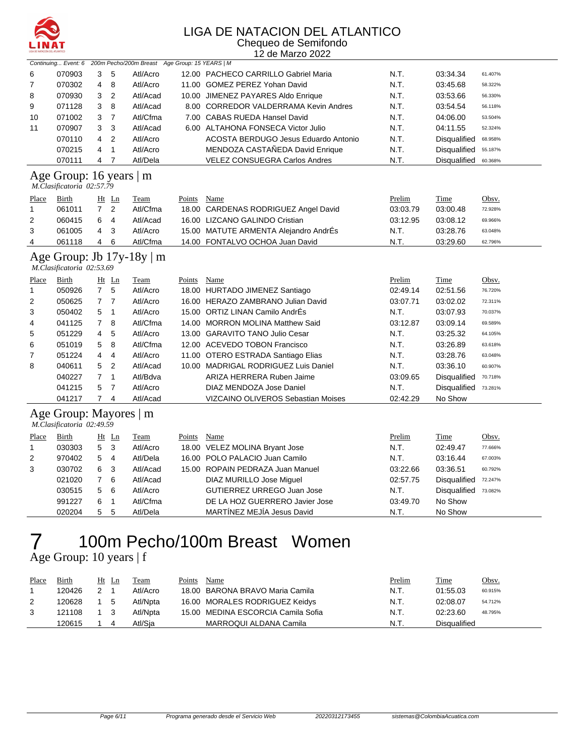

#### LIGA DE NATACION DEL ATLANTICO Chequeo de Semifondo

|                | LIGA DE NATACIÓN DEL ATLÁNTICO<br>12 de Marzo 2022   |                |                |                                                                    |             |                                       |               |                      |         |  |  |
|----------------|------------------------------------------------------|----------------|----------------|--------------------------------------------------------------------|-------------|---------------------------------------|---------------|----------------------|---------|--|--|
|                |                                                      |                |                | Continuing Event: 6 200m Pecho/200m Breast Age Group: 15 YEARS   M |             |                                       |               |                      |         |  |  |
| 6              | 070903                                               | 3              | 5              | Atl/Acro                                                           |             | 12.00 PACHECO CARRILLO Gabriel Maria  | N.T.          | 03:34.34             | 61.407% |  |  |
| 7              | 070302                                               | 4              | 8              | Atl/Acro                                                           |             | 11.00 GOMEZ PEREZ Yohan David         | N.T.          | 03:45.68             | 58.322% |  |  |
| 8              | 070930                                               | 3              | $\overline{2}$ | Atl/Acad                                                           |             | 10.00 JIMENEZ PAYARES Aldo Enrique    | N.T.          | 03:53.66             | 56.330% |  |  |
| 9              | 071128                                               | 3              | 8              | Atl/Acad                                                           |             | 8.00 CORREDOR VALDERRAMA Kevin Andres | N.T.          | 03:54.54             | 56.118% |  |  |
| 10             | 071002                                               | 3              | $\overline{7}$ | Atl/Cfma                                                           |             | 7.00 CABAS RUEDA Hansel David         | N.T.          | 04:06.00             | 53.504% |  |  |
| 11             | 070907                                               | 3              | 3              | Atl/Acad                                                           |             | 6.00 ALTAHONA FONSECA Victor Julio    | N.T.          | 04:11.55             | 52.324% |  |  |
|                | 070110                                               | 4              | $\overline{2}$ | Atl/Acro                                                           |             | ACOSTA BERDUGO Jesus Eduardo Antonio  | N.T.          | Disqualified         | 68.958% |  |  |
|                | 070215                                               | 4              | $\mathbf{1}$   | Atl/Acro                                                           |             | MENDOZA CASTAÑEDA David Enrique       | N.T.          | Disqualified         | 55.187% |  |  |
|                | 070111                                               | 4              | 7              | Atl/Dela                                                           |             | <b>VELEZ CONSUEGRA Carlos Andres</b>  | N.T.          | Disqualified         | 60.368% |  |  |
|                | Age Group: 16 years   m<br>M.Clasificatoria 02:57.79 |                |                |                                                                    |             |                                       |               |                      |         |  |  |
| Place          | Birth                                                |                | Ht Ln          | Team                                                               | Points      | Name                                  | Prelim        | Time                 | Obsv.   |  |  |
| $\mathbf{1}$   | 061011                                               | $7^{\circ}$    | $\overline{2}$ | Atl/Cfma                                                           |             | 18.00 CARDENAS RODRIGUEZ Angel David  | 03:03.79      | 03:00.48             | 72.928% |  |  |
| $\overline{2}$ | 060415                                               | 6              | 4              | Atl/Acad                                                           |             | 16.00 LIZCANO GALINDO Cristian        | 03:12.95      | 03:08.12             | 69.966% |  |  |
| 3              | 061005                                               | 4              | 3              | Atl/Acro                                                           |             | 15.00 MATUTE ARMENTA Alejandro AndrEs | N.T.          | 03:28.76             | 63.048% |  |  |
| 4              | 061118                                               | 4              | 6              | Atl/Cfma                                                           |             | 14.00 FONTALVO OCHOA Juan David       | N.T.          | 03:29.60             | 62.796% |  |  |
|                | M.Clasificatoria 02:53.69                            |                |                | Age Group: Jb $17y-18y \mid m$                                     |             |                                       |               |                      |         |  |  |
| <b>Place</b>   | <b>Birth</b>                                         |                | $Ht$ Ln        | <b>Team</b>                                                        | Points Name |                                       | <b>Prelim</b> | <u>Time</u>          | Obsv.   |  |  |
| $\mathbf{1}$   | 050926                                               | $7^{\circ}$    | 5              | Atl/Acro                                                           |             | 18.00 HURTADO JIMENEZ Santiago        | 02:49.14      | 02:51.56             | 76.720% |  |  |
| 2              | 050625                                               | $\overline{7}$ | $\overline{7}$ | Atl/Acro                                                           |             | 16.00 HERAZO ZAMBRANO Julian David    | 03:07.71      | 03:02.02             | 72.311% |  |  |
| 3              | 050402                                               | 5              | $\mathbf{1}$   | Atl/Acro                                                           |             | 15.00 ORTIZ LINAN Camilo AndrÉs       | N.T.          | 03:07.93             | 70.037% |  |  |
| 4              | 041125                                               | $\overline{7}$ | 8              | Atl/Cfma                                                           |             | 14.00 MORRON MOLINA Matthew Said      | 03:12.87      | 03:09.14             | 69.589% |  |  |
| 5              | 051229                                               | 4              | 5              | Atl/Acro                                                           |             | 13.00 GARAVITO TANO Julio Cesar       | N.T.          | 03:25.32             | 64.105% |  |  |
| 6              | 051019                                               | 5              | 8              | Atl/Cfma                                                           |             | 12.00 ACEVEDO TOBON Francisco         | N.T.          | 03:26.89             | 63.618% |  |  |
| 7              | 051224                                               | 4              | 4              | Atl/Acro                                                           |             | 11.00 OTERO ESTRADA Santiago Elias    | N.T.          | 03:28.76             | 63.048% |  |  |
| 8              | 040611                                               | 5              | $\overline{2}$ | Atl/Acad                                                           |             | 10.00 MADRIGAL RODRIGUEZ Luis Daniel  | N.T.          | 03:36.10             | 60.907% |  |  |
|                | 040227                                               | $\overline{7}$ | $\mathbf{1}$   | Atl/Bdva                                                           |             | ARIZA HERRERA Ruben Jaime             | 03:09.65      | Disqualified         | 70.718% |  |  |
|                | 041215                                               | 5              | $\overline{7}$ | Atl/Acro                                                           |             | DIAZ MENDOZA Jose Daniel              | N.T.          | Disqualified 73.281% |         |  |  |
|                | 041217                                               | $\overline{7}$ | 4              | Atl/Acad                                                           |             | VIZCAINO OLIVEROS Sebastian Moises    | 02:42.29      | No Show              |         |  |  |
|                | Age Group: Mayores   m<br>M.Clasificatoria 02:49.59  |                |                |                                                                    |             |                                       |               |                      |         |  |  |
| Place          | Birth                                                |                | $Ht$ Ln        | <b>Team</b>                                                        | Points Name |                                       | Prelim        | <b>Time</b>          | Obsv.   |  |  |
| $\mathbf{1}$   | 030303                                               | 5              | 3              | Atl/Acro                                                           |             | 18.00 VELEZ MOLINA Bryant Jose        | N.T.          | 02:49.47             | 77.666% |  |  |
| $\overline{2}$ | 970402                                               | 5              | 4              | Atl/Dela                                                           |             | 16.00 POLO PALACIO Juan Camilo        | N.T.          | 03:16.44             | 67.003% |  |  |
| 3              | 030702                                               | 6              | 3              | Atl/Acad                                                           |             | 15.00 ROPAIN PEDRAZA Juan Manuel      | 03:22.66      | 03:36.51             | 60.792% |  |  |
|                | 021020                                               | $\overline{7}$ | 6              | Atl/Acad                                                           |             | DIAZ MURILLO Jose Miguel              | 02:57.75      | Disqualified         | 72.247% |  |  |
|                | 030515                                               | 5              | 6              | Atl/Acro                                                           |             | GUTIERREZ URREGO Juan Jose            | N.T.          | Disqualified         | 73.082% |  |  |
|                | 991227                                               | 6              | -1             | AtI/Cfma                                                           |             | DE LA HOZ GUERRERO Javier Jose        | 03.4970       | No Show              |         |  |  |

### 100m Pecho/100m Breast Women 7 100m Pe

| Place | Birth  | Ht  | Ln | Team     | Points | Name                               | Prelim | <b>Time</b>  | <u>Obsv.</u> |
|-------|--------|-----|----|----------|--------|------------------------------------|--------|--------------|--------------|
|       | 120426 |     |    | Atl/Acro |        | 18.00 BARONA BRAVO Maria Camila    | N.T.   | 01:55.03     | 60.915%      |
|       | 120628 |     | -5 | Atl/Npta |        | 16.00 MORALES RODRIGUEZ Keidys     | N.T.   | 02:08.07     | 54.712%      |
|       | 121108 | 1 3 |    | Atl/Npta |        | 15.00 MEDINA ESCORCIA Camila Sofia | N.T.   | 02:23.60     | 48.795%      |
|       | 120615 |     |    | Atl/Sia  |        | MARROQUI ALDANA Camila             | N.T.   | Disgualified |              |

5 5 Atl/Dela MARTÍNEZ MEJÍA Jesus David N.T. No Show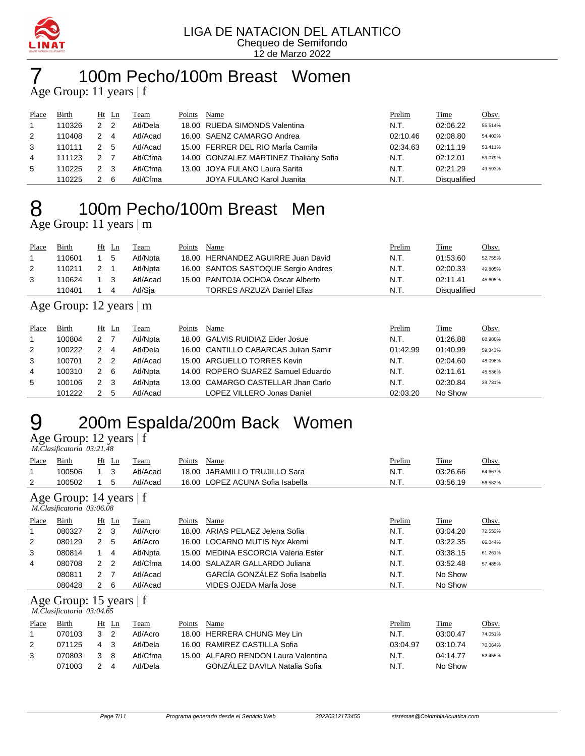

## 100m Pecho/100m Breast Women

Age Group: 11 years | f

| Place | Birth  |     | $Ht$ Ln        | Team     | Points | Name                                   | Prelim   | <b>Time</b>         | Obsv.   |
|-------|--------|-----|----------------|----------|--------|----------------------------------------|----------|---------------------|---------|
|       | 110326 | 2   | $\overline{2}$ | Atl/Dela |        | 18.00 RUEDA SIMONDS Valentina          | N.T.     | 02:06.22            | 55.514% |
| 2     | 110408 | 2   | -4             | Atl/Acad |        | 16.00 SAENZ CAMARGO Andrea             | 02:10.46 | 02:08.80            | 54.402% |
| 3     | 110111 | 2 5 |                | Atl/Acad |        | 15.00 FERRER DEL RIO María Camila      | 02:34.63 | 02:11.19            | 53.411% |
| 4     | 111123 | 2   |                | Atl/Cfma |        | 14.00 GONZALEZ MARTINEZ Thaliany Sofia | N.T.     | 02:12.01            | 53.079% |
| 5     | 110225 | 2 3 |                | Atl/Cfma |        | 13.00 JOYA FULANO Laura Sarita         | N.T.     | 02:21.29            | 49.593% |
|       | 110225 |     | - 6            | Atl/Cfma |        | JOYA FULANO Karol Juanita              | N.T.     | <b>Disqualified</b> |         |

### 100m Pecho/100m Breast Men Age Group: 11 years | m

| Place | Birth  | Ht Ln |     | Team     | Points | Name                                | Prelim | Time         | <u>Obsv.</u> |
|-------|--------|-------|-----|----------|--------|-------------------------------------|--------|--------------|--------------|
|       | 110601 |       | - 5 | Atl/Npta |        | 18.00 HERNANDEZ AGUIRRE Juan David  | N.T.   | 01:53.60     | 52.755%      |
| 2     | 110211 |       |     | Atl/Npta |        | 16.00 SANTOS SASTOQUE Sergio Andres | N.T.   | 02:00.33     | 49.805%      |
|       | 110624 | - 3   |     | Atl/Acad |        | 15.00 PANTOJA OCHOA Oscar Alberto   | N.T.   | 02:11.41     | 45.605%      |
|       | 110401 |       | 4   | Atl/Sia  |        | <b>TORRES ARZUZA Daniel Elias</b>   | N.T.   | Disgualified |              |

#### Age Group: 12 years | m

| Place | Birth  | $Ht$ Ln       |                | Team     | Points | Name                                 | Prelim   | Time     | Obsv.   |
|-------|--------|---------------|----------------|----------|--------|--------------------------------------|----------|----------|---------|
|       | 100804 | 2             |                | Atl/Npta |        | 18.00 GALVIS RUIDIAZ Eider Josue     | N.T.     | 01:26.88 | 68.980% |
| 2     | 100222 | 2             | 4              | Atl/Dela |        | 16.00 CANTILLO CABARCAS Julian Samir | 01:42.99 | 01:40.99 | 59.343% |
| 3     | 100701 | $\mathcal{P}$ | $\overline{2}$ | Atl/Acad |        | 15.00 ARGUELLO TORRES Kevin          | N.T.     | 02:04.60 | 48.098% |
| 4     | 100310 | 2             | -6             | Atl/Npta |        | 14.00 ROPERO SUAREZ Samuel Eduardo   | N.T.     | 02:11.61 | 45.536% |
| 5     | 100106 | 2             | -3             | Atl/Npta |        | 13.00 CAMARGO CASTELLAR Jhan Carlo   | N.T.     | 02:30.84 | 39.731% |
|       | 101222 |               | $\mathbf{b}$   | Atl/Acad |        | LOPEZ VILLERO Jonas Daniel           | 02:03.20 | No Show  |         |

### 200m Espalda/200m Back Women  $\overline{Age}$  Group: 12 years | f

 *M.Clasificatoria 03:21.48* 

| Place        | Birth                                                  | Ht             | $\mathbf{L}$ n | Team        | Points        | Name                                 | Prelim   | Time        | Obsv.   |
|--------------|--------------------------------------------------------|----------------|----------------|-------------|---------------|--------------------------------------|----------|-------------|---------|
|              | 100506                                                 | $\mathbf{1}$   | 3              | Atl/Acad    | 18.00         | <b>JARAMILLO TRUJILLO Sara</b>       | N.T.     | 03:26.66    | 64.667% |
| 2            | 100502                                                 |                | 5              | Atl/Acad    | 16.00         | LOPEZ ACUNA Sofia Isabella           | N.T.     | 03:56.19    | 56.582% |
|              | Age Group: 14 years   f<br>M.Clasificatoria 03:06.08   |                |                |             |               |                                      |          |             |         |
| <b>Place</b> | <b>Birth</b>                                           |                | $Ht$ Ln        | <b>Team</b> | <b>Points</b> | Name                                 | Prelim   | <b>Time</b> | Obsv.   |
| 1            | 080327                                                 | $\mathbf{2}$   | -3             | Atl/Acro    | 18.00         | ARIAS PELAEZ Jelena Sofia            | N.T.     | 03:04.20    | 72.552% |
| 2            | 080129                                                 | $\overline{2}$ | 5              | Atl/Acro    | 16.00         | LOCARNO MUTIS Nyx Akemi              | N.T.     | 03:22.35    | 66.044% |
| 3            | 080814                                                 | $\mathbf{1}$   | 4              | Atl/Npta    | 15.00         | <b>MEDINA ESCORCIA Valeria Ester</b> | N.T.     | 03:38.15    | 61.261% |
| 4            | 080708                                                 | $\mathbf{2}$   | $\overline{2}$ | Atl/Cfma    | 14.00         | SALAZAR GALLARDO Juliana             | N.T.     | 03:52.48    | 57.485% |
|              | 080811                                                 | 2 <sub>7</sub> |                | Atl/Acad    |               | GARCÍA GONZÁLEZ Sofia Isabella       | N.T.     | No Show     |         |
|              | 080428                                                 | $\mathbf{2}$   | 6              | Atl/Acad    |               | VIDES OJEDA María Jose               | N.T.     | No Show     |         |
|              | Age Group: 15 years $ f $<br>M.Clasificatoria 03:04.65 |                |                |             |               |                                      |          |             |         |
| Place        | Birth                                                  |                | $Ht$ Ln        | Team        | Points        | Name                                 | Prelim   | Time        | Obsv.   |
| 1            | 070103                                                 | 3              | $\overline{2}$ | Atl/Acro    | 18.00         | <b>HERRERA CHUNG Mey Lin</b>         | N.T.     | 03:00.47    | 74.051% |
| 2            | 071125                                                 | 4              | 3              | Atl/Dela    | 16.00         | RAMIREZ CASTILLA Sofia               | 03:04.97 | 03:10.74    | 70.064% |
| 3            | 070803                                                 | 3              | 8              | Atl/Cfma    | 15.00         | ALFARO RENDON Laura Valentina        | N.T.     | 04:14.77    | 52.455% |
|              | 071003                                                 | 2              | 4              | Atl/Dela    |               | GONZÁLEZ DAVILA Natalia Sofia        | N.T.     | No Show     |         |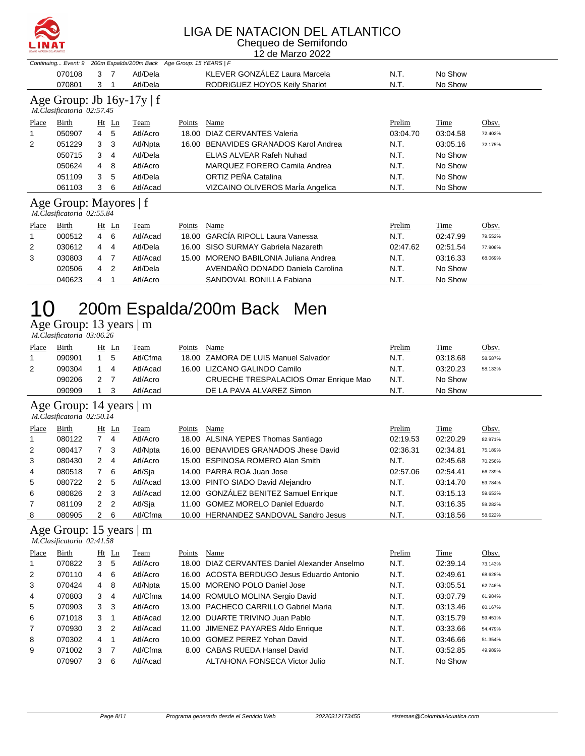

#### LIGA DE NATACION DEL ATLANTICO Chequeo de Semifondo

12 de Marzo 2022

| Continuing Event: 9<br>200m Espalda/200m Back Age Group: 15 YEARS   F |                                |                |                |          |        |                                        |          |          |         |  |  |
|-----------------------------------------------------------------------|--------------------------------|----------------|----------------|----------|--------|----------------------------------------|----------|----------|---------|--|--|
|                                                                       | 070108                         | 3              | -7             | Atl/Dela |        | KLEVER GONZÁLEZ Laura Marcela          | N.T.     | No Show  |         |  |  |
|                                                                       | 070801                         | 3              |                | Atl/Dela |        | RODRIGUEZ HOYOS Keily Sharlot          | N.T.     | No Show  |         |  |  |
|                                                                       | Age Group: Jb $16y-17y \mid f$ |                |                |          |        |                                        |          |          |         |  |  |
|                                                                       | M.Clasificatoria 02:57.45      |                |                |          |        |                                        |          |          |         |  |  |
| Place                                                                 | Birth                          |                | $Ht$ Ln        | Team     | Points | Name                                   | Prelim   | Time     | Obsv.   |  |  |
|                                                                       | 050907                         | $\overline{4}$ | 5              | Atl/Acro | 18.00  | DIAZ CERVANTES Valeria                 | 03:04.70 | 03:04.58 | 72.402% |  |  |
| 2                                                                     | 051229                         | 3              | 3              | Atl/Npta | 16.00  | <b>BENAVIDES GRANADOS Karol Andrea</b> | N.T.     | 03:05.16 | 72.175% |  |  |
|                                                                       | 050715                         | 3              | 4              | Atl/Dela |        | ELIAS ALVEAR Rafeh Nuhad               | N.T.     | No Show  |         |  |  |
|                                                                       | 050624                         | 4              | 8              | Atl/Acro |        | MARQUEZ FORERO Camila Andrea           | N.T.     | No Show  |         |  |  |
|                                                                       | 051109                         | 3              | 5              | Atl/Dela |        | ORTIZ PEÑA Catalina                    | N.T.     | No Show  |         |  |  |
|                                                                       | 061103                         | 3              | 6              | Atl/Acad |        | VIZCAINO OLIVEROS María Angelica       | N.T.     | No Show  |         |  |  |
|                                                                       | Age Group: Mayores   f         |                |                |          |        |                                        |          |          |         |  |  |
|                                                                       | M.Clasificatoria 02:55.84      |                |                |          |        |                                        |          |          |         |  |  |
| Place                                                                 | Birth                          |                | Ht Ln          | Team     | Points | Name                                   | Prelim   | Time     | Obsv.   |  |  |
|                                                                       | 000512                         | $\overline{4}$ | - 6            | Atl/Acad | 18.00  | <b>GARCIA RIPOLL Laura Vanessa</b>     | N.T.     | 02:47.99 | 79.552% |  |  |
| 2                                                                     | 030612                         | 4              | $\overline{4}$ | Atl/Dela |        | 16.00 SISO SURMAY Gabriela Nazareth    | 02:47.62 | 02:51.54 | 77.906% |  |  |
| 3                                                                     | 030803                         | 4              | - 7            | Atl/Acad | 15.00  | MORENO BABILONIA Juliana Andrea        | N.T.     | 03:16.33 | 68.069% |  |  |
|                                                                       | 020506                         | 4              | 2              | Atl/Dela |        | AVENDAÑO DONADO Daniela Carolina       | N.T.     | No Show  |         |  |  |
|                                                                       | 040623                         | 4              | 1              | Atl/Acro |        | SANDOVAL BONILLA Fabiana               | N.T.     | No Show  |         |  |  |

Age Group: 13 years | m

 *M.Clasificatoria 03:06.26* 

| Place | <b>Birth</b> |     | $Ht$ Ln | <u>Team</u> | Points | Name                                  | <b>Prelim</b> | Time     | Obsv.   |
|-------|--------------|-----|---------|-------------|--------|---------------------------------------|---------------|----------|---------|
|       | 090901       |     | -5      | Atl/Cfma    |        | 18.00 ZAMORA DE LUIS Manuel Salvador  | N.T.          | 03:18.68 | 58.587% |
| 2     | 090304       | 14  |         | Atl/Acad    |        | 16.00 LIZCANO GALINDO Camilo          | N.T.          | 03:20.23 | 58.133% |
|       | 090206       | 2 7 |         | Atl/Acro    |        | CRUECHE TRESPALACIOS Omar Enrique Mao | N.T.          | No Show  |         |
|       | 090909       |     |         | Atl/Acad    |        | DE LA PAVA ALVAREZ Simon              | N.T.          | No Show  |         |
|       |              |     |         |             |        |                                       |               |          |         |

#### Age Group: 14 years | m

 *M.Clasificatoria 02:50.14* 

| Place          | <b>Birth</b> |              | $Ht$ Ln                    | Team     | Points | Name                                  | Prelim   | Time     | Obsv.   |
|----------------|--------------|--------------|----------------------------|----------|--------|---------------------------------------|----------|----------|---------|
| $\overline{1}$ | 080122       |              | 4                          | Atl/Acro |        | 18.00 ALSINA YEPES Thomas Santiago    | 02:19.53 | 02:20.29 | 82.971% |
| 2              | 080417       | 7 3          |                            | Atl/Npta |        | 16.00 BENAVIDES GRANADOS Jhese David  | 02:36.31 | 02:34.81 | 75.189% |
| 3              | 080430       | $\mathbf{2}$ | - 4                        | Atl/Acro |        | 15.00 ESPINOSA ROMERO Alan Smith      | N.T.     | 02:45.68 | 70.256% |
| $\overline{4}$ | 080518       |              | 6                          | Atl/Sja  |        | 14.00 PARRA ROA Juan Jose             | 02:57.06 | 02:54.41 | 66.739% |
| 5              | 080722       | 2            | 5                          | Atl/Acad |        | 13.00 PINTO SIADO David Alejandro     | N.T.     | 03:14.70 | 59.784% |
| 6              | 080826       | 2 3          |                            | Atl/Acad |        | 12.00 GONZÁLEZ BENITEZ Samuel Enrique | N.T.     | 03:15.13 | 59.653% |
| $\overline{7}$ | 081109       | 2            | $\overline{\phantom{0}}^2$ | Atl/Sja  |        | 11.00 GOMEZ MORELO Daniel Eduardo     | N.T.     | 03:16.35 | 59.282% |
| 8              | 080905       | 2 6          |                            | Atl/Cfma |        | 10.00 HERNANDEZ SANDOVAL Sandro Jesus | N.T.     | 03:18.56 | 58.622% |

### Age Group: 15 years | m

 *M.Clasificatoria 02:41.58* 

| Place          | Birth  |               | Ht Ln          | Team     | Points | Name                                          | Prelim | Time     | Obsv.   |
|----------------|--------|---------------|----------------|----------|--------|-----------------------------------------------|--------|----------|---------|
|                | 070822 | 3             | 5              | Atl/Acro |        | 18.00 DIAZ CERVANTES Daniel Alexander Anselmo | N.T.   | 02:39.14 | 73.143% |
| 2              | 070110 | 4             | -6             | Atl/Acro |        | 16.00 ACOSTA BERDUGO Jesus Eduardo Antonio    | N.T.   | 02:49.61 | 68.628% |
| 3              | 070424 | 4             | -8             | Atl/Npta |        | 15.00 MORENO POLO Daniel Jose                 | N.T.   | 03:05.51 | 62.746% |
| 4              | 070803 | 3             | 4              | Atl/Cfma |        | 14.00 ROMULO MOLINA Sergio David              | N.T.   | 03:07.79 | 61.984% |
| 5              | 070903 | 3             | 3              | Atl/Acro |        | 13.00 PACHECO CARRILLO Gabriel Maria          | N.T.   | 03:13.46 | 60.167% |
| 6              | 071018 | $\mathcal{S}$ |                | Atl/Acad |        | 12.00 DUARTE TRIVINO Juan Pablo               | N.T.   | 03:15.79 | 59.451% |
| $\overline{7}$ | 070930 | 3             | $\overline{2}$ | Atl/Acad |        | 11.00 JIMENEZ PAYARES Aldo Enrique            | N.T.   | 03:33.66 | 54.479% |
| 8              | 070302 | 4             |                | Atl/Acro |        | 10.00 GOMEZ PEREZ Yohan David                 | N.T.   | 03:46.66 | 51.354% |
| 9              | 071002 | 3             |                | Atl/Cfma |        | 8.00 CABAS RUEDA Hansel David                 | N.T.   | 03:52.85 | 49.989% |
|                | 070907 | 3             | 6              | Atl/Acad |        | ALTAHONA FONSECA Victor Julio                 | N.T.   | No Show  |         |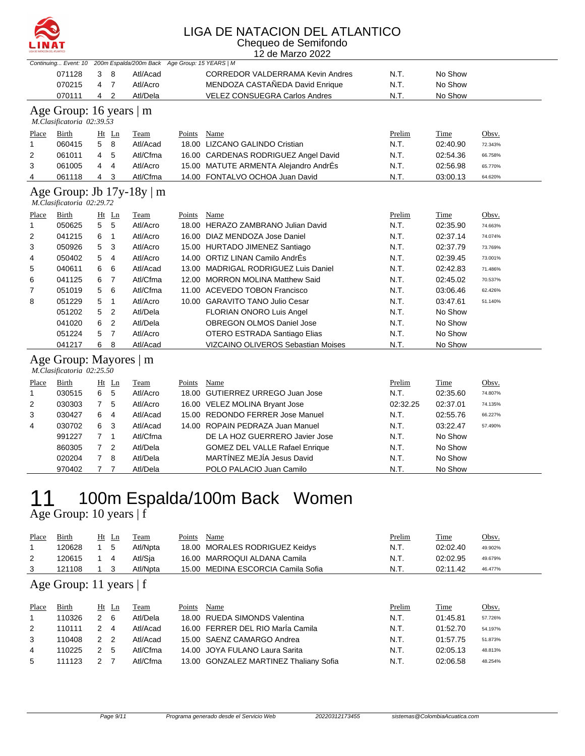

#### LIGA DE NATACION DEL ATLANTICO Chequeo de Semifondo

12 de Marzo 2022

|              |                                                     |                |                | Continuing Event: 10 200m Espalda/200m Back Age Group: 15 YEARS   M |        |                                         |          |             |         |
|--------------|-----------------------------------------------------|----------------|----------------|---------------------------------------------------------------------|--------|-----------------------------------------|----------|-------------|---------|
|              | 071128                                              | 3              | 8              | Atl/Acad                                                            |        | <b>CORREDOR VALDERRAMA Kevin Andres</b> | N.T.     | No Show     |         |
|              | 070215                                              | 4              | $\overline{7}$ | Atl/Acro                                                            |        | MENDOZA CASTAÑEDA David Enrique         | N.T.     | No Show     |         |
|              | 070111                                              | 4              | $\overline{2}$ | Atl/Dela                                                            |        | <b>VELEZ CONSUEGRA Carlos Andres</b>    | N.T.     | No Show     |         |
|              | Age Group: 16 years $\vert$ m                       |                |                |                                                                     |        |                                         |          |             |         |
|              | M.Clasificatoria 02:39.53                           |                |                |                                                                     |        |                                         |          |             |         |
| Place        | <b>Birth</b>                                        |                | Ht Ln          | Team                                                                | Points | Name                                    | Prelim   | <b>Time</b> | Obsv.   |
| 1            | 060415                                              | 5              | 8              | Atl/Acad                                                            |        | 18.00 LIZCANO GALINDO Cristian          | N.T.     | 02:40.90    | 72.343% |
| 2            | 061011                                              | 4              | 5              | Atl/Cfma                                                            |        | 16.00 CARDENAS RODRIGUEZ Angel David    | N.T.     | 02:54.36    | 66.758% |
| 3            | 061005                                              | 4              | 4              | Atl/Acro                                                            |        | 15.00 MATUTE ARMENTA Alejandro AndrÉs   | N.T.     | 02:56.98    | 65.770% |
| 4            | 061118                                              | 4              | 3              | Atl/Cfma                                                            |        | 14.00 FONTALVO OCHOA Juan David         | N.T.     | 03:00.13    | 64.620% |
|              |                                                     |                |                |                                                                     |        |                                         |          |             |         |
|              | M.Clasificatoria 02:29.72                           |                |                | Age Group: Jb $17y-18y \mid m$                                      |        |                                         |          |             |         |
| Place        | Birth                                               |                | $Ht$ Ln        | <b>Team</b>                                                         | Points | Name                                    | Prelim   | Time        | Obsv.   |
| $\mathbf{1}$ | 050625                                              | 5              | 5              | Atl/Acro                                                            |        | 18.00 HERAZO ZAMBRANO Julian David      | N.T.     | 02:35.90    | 74.663% |
| 2            | 041215                                              | 6              | $\mathbf{1}$   | Atl/Acro                                                            |        | 16.00 DIAZ MENDOZA Jose Daniel          | N.T.     | 02:37.14    | 74.074% |
| 3            | 050926                                              | 5              | 3              | Atl/Acro                                                            |        | 15.00 HURTADO JIMENEZ Santiago          | N.T.     | 02:37.79    | 73.769% |
| 4            | 050402                                              | 5              | $\overline{4}$ | Atl/Acro                                                            |        | 14.00 ORTIZ LINAN Camilo AndrÉs         | N.T.     | 02:39.45    | 73.001% |
| 5            | 040611                                              | 6              | 6              | Atl/Acad                                                            |        | 13.00 MADRIGAL RODRIGUEZ Luis Daniel    | N.T.     | 02:42.83    | 71.486% |
| 6            | 041125                                              | 6              | $\overline{7}$ | Atl/Cfma                                                            |        | 12.00 MORRON MOLINA Matthew Said        | N.T.     | 02:45.02    | 70.537% |
| 7            | 051019                                              | 5              | 6              | Atl/Cfma                                                            |        | 11.00 ACEVEDO TOBON Francisco           | N.T.     | 03:06.46    | 62.426% |
| 8            | 051229                                              | 5              | $\mathbf{1}$   | Atl/Acro                                                            |        | 10.00 GARAVITO TANO Julio Cesar         | N.T.     | 03:47.61    | 51.140% |
|              | 051202                                              | 5              | $\overline{2}$ | Atl/Dela                                                            |        | FLORIAN ONORO Luis Angel                | N.T.     | No Show     |         |
|              | 041020                                              | 6              | $\overline{2}$ | Atl/Dela                                                            |        | OBREGON OLMOS Daniel Jose               | N.T.     | No Show     |         |
|              | 051224                                              | 5              | $\overline{7}$ | Atl/Acro                                                            |        | OTERO ESTRADA Santiago Elias            | N.T.     | No Show     |         |
|              | 041217                                              | 6              | 8              | Atl/Acad                                                            |        | VIZCAINO OLIVEROS Sebastian Moises      | N.T.     | No Show     |         |
|              | Age Group: Mayores   m<br>M.Clasificatoria 02:25.50 |                |                |                                                                     |        |                                         |          |             |         |
| Place        | Birth                                               |                | Ht Ln          | Team                                                                | Points | Name                                    | Prelim   | Time        | Obsv.   |
| 1            | 030515                                              | 6              | 5              | Atl/Acro                                                            |        | 18.00 GUTIERREZ URREGO Juan Jose        | N.T.     | 02:35.60    | 74.807% |
| 2            | 030303                                              | 7              | 5              | Atl/Acro                                                            |        | 16.00 VELEZ MOLINA Bryant Jose          | 02:32.25 | 02:37.01    | 74.135% |
| 3            | 030427                                              | 6              | 4              | Atl/Acad                                                            |        | 15.00 REDONDO FERRER Jose Manuel        | N.T.     | 02:55.76    | 66.227% |
| 4            | 030702                                              | 6              | 3              | Atl/Acad                                                            |        | 14.00 ROPAIN PEDRAZA Juan Manuel        | N.T.     | 03:22.47    | 57.490% |
|              | 991227                                              | $\overline{7}$ | $\mathbf{1}$   | Atl/Cfma                                                            |        | DE LA HOZ GUERRERO Javier Jose          | N.T.     | No Show     |         |
|              | 860305                                              | $\overline{7}$ | 2              | Atl/Dela                                                            |        | <b>GOMEZ DEL VALLE Rafael Enrique</b>   | N.T.     | No Show     |         |
|              | 020204                                              | $\overline{7}$ | 8              | Atl/Dela                                                            |        | MARTÍNEZ MEJÍA Jesus David              | N.T.     | No Show     |         |
|              | 970402                                              | $\overline{7}$ | $\overline{7}$ | Atl/Dela                                                            |        | POLO PALACIO Juan Camilo                | N.T.     | No Show     |         |

### 11 100m Espalda/100m Back Women Age Group: 10 years | f

| Place | Birth  | Ht | Ln | Team     | Points | Name                               | <u>Prelim</u> | Time     | <u>Obsv.</u> |
|-------|--------|----|----|----------|--------|------------------------------------|---------------|----------|--------------|
|       | 120628 |    | -5 | Atl/Npta |        | 18.00 MORALES RODRIGUEZ Keidys     | N.T.          | 02:02.40 | 49.902%      |
|       | 120615 |    |    | Atl/Sia  |        | 16.00 MARROQUI ALDANA Camila       | N.T.          | 02:02.95 | 49.679%      |
|       | 121108 |    |    | Atl/Npta |        | 15.00 MEDINA ESCORCIA Camila Sofia | N.T.          | 02:11.42 | 46.477%      |

### Age Group: 11 years | f

| Place          | Birth  |     | Ht Ln | Team     | Points | Name                                   | Prelim | Time     | <u>Obsv.</u> |
|----------------|--------|-----|-------|----------|--------|----------------------------------------|--------|----------|--------------|
|                | 110326 | 2   | - 6   | Atl/Dela |        | 18.00 RUEDA SIMONDS Valentina          | N.T.   | 01:45.81 | 57.726%      |
| 2              | 110111 | 24  |       | Atl/Acad |        | 16.00 FERRER DEL RIO María Camila      | N.T.   | 01:52.70 | 54.197%      |
| 3              | 110408 | 22  |       | Atl/Acad |        | 15.00 SAENZ CAMARGO Andrea             | N.T.   | 01:57.75 | 51.873%      |
| $\overline{4}$ | 110225 | 2 5 |       | Atl/Cfma |        | 14.00 JOYA FULANO Laura Sarita         | N.T.   | 02:05.13 | 48.813%      |
| 5              | 111123 |     |       | Atl/Cfma |        | 13.00 GONZALEZ MARTINEZ Thaliany Sofia | N.T.   | 02:06.58 | 48.254%      |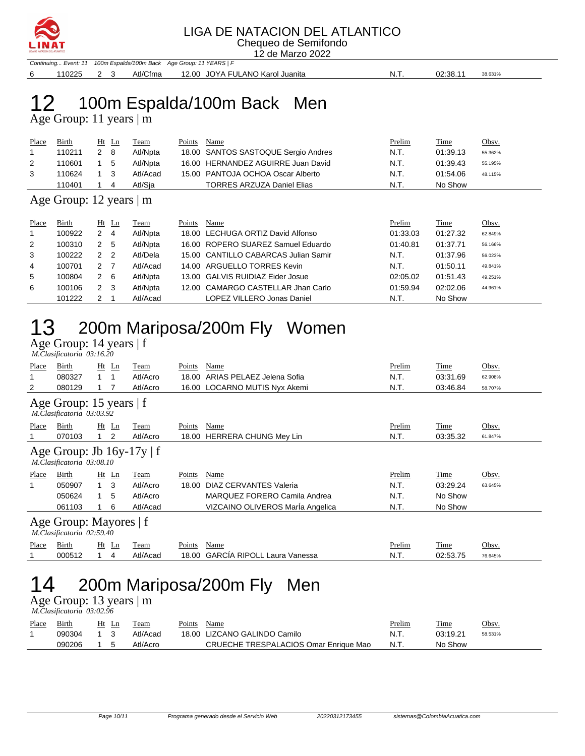

### LIGA DE NATACION DEL ATLANTICO

Chequeo de Semifondo 12 de Marzo 2022

Continuing... Event: 11 100m Espalda/100m Back Age Group: 11 YEARS | F 6 110225 2 3 Atl/Cfma 12.00 JOYA FULANO Karol Juanita N.T. 02:38.11 38.631%

# 12 100m Espalda/100m Back Men

Age Group: 11 years | m

| Place | <b>Birth</b> | Ht | Ln  | Team     | Points | Name                                | <u>Prelim</u> | Time     | <u>Obsv.</u> |
|-------|--------------|----|-----|----------|--------|-------------------------------------|---------------|----------|--------------|
|       | 110211       |    | - 8 | Atl/Npta |        | 18.00 SANTOS SASTOQUE Sergio Andres | N.T.          | 01:39.13 | 55.362%      |
| 2     | 110601       |    | - 5 | Atl/Npta |        | 16.00 HERNANDEZ AGUIRRE Juan David  | N.T.          | 01:39.43 | 55.195%      |
|       | 110624       |    |     | Atl/Acad |        | 15.00 PANTOJA OCHOA Oscar Alberto   | N.T.          | 01:54.06 | 48.115%      |
|       | 110401       |    | 4   | Atl/Sia  |        | <b>TORRES ARZUZA Daniel Elias</b>   | N.T.          | No Show  |              |
|       |              |    |     |          |        |                                     |               |          |              |

#### Age Group: 12 years | m

| Place          | Birth  | $Ht$ Ln                         |                | Team     | Points | Name                                 | Prelim   | Time     | Obsv.   |
|----------------|--------|---------------------------------|----------------|----------|--------|--------------------------------------|----------|----------|---------|
| $\overline{1}$ | 100922 | 2                               | $\overline{4}$ | Atl/Npta |        | 18.00 LECHUGA ORTIZ David Alfonso    | 01:33.03 | 01:27.32 | 62.849% |
| 2              | 100310 | 2                               | -5             | Atl/Npta |        | 16.00 ROPERO SUAREZ Samuel Eduardo   | 01:40.81 | 01:37.71 | 56.166% |
| 3              | 100222 | $\mathcal{P}$<br>$\overline{2}$ |                | Atl/Dela |        | 15.00 CANTILLO CABARCAS Julian Samir | N.T.     | 01:37.96 | 56.023% |
| 4              | 100701 | 2 7                             |                | Atl/Acad |        | 14.00 ARGUELLO TORRES Kevin          | N.T.     | 01:50.11 | 49.841% |
| 5              | 100804 | 2 6                             |                | Atl/Npta |        | 13.00 GALVIS RUIDIAZ Eider Josue     | 02:05.02 | 01:51.43 | 49.251% |
| 6              | 100106 | 2 <sub>3</sub>                  |                | Atl/Npta |        | 12.00 CAMARGO CASTELLAR Jhan Carlo   | 01:59.94 | 02:02.06 | 44.961% |
|                | 101222 |                                 |                | Atl/Acad |        | LOPEZ VILLERO Jonas Daniel           | N.T.     | No Show  |         |

## 13 200m Mariposa/200m Fly Women

Age Group: 14 years | f

|                                                     | M.Clasificatoria 03:16.20                                                                                                                                                                                                                        |              |         |          |        |                                    |        |          |         |  |  |
|-----------------------------------------------------|--------------------------------------------------------------------------------------------------------------------------------------------------------------------------------------------------------------------------------------------------|--------------|---------|----------|--------|------------------------------------|--------|----------|---------|--|--|
| Place                                               | Birth                                                                                                                                                                                                                                            |              | Ht Ln   | Team     | Points | Name                               | Prelim | Time     | Obsv.   |  |  |
| 1                                                   | 080327                                                                                                                                                                                                                                           | 1.           | -1      | Atl/Acro | 18.00  | ARIAS PELAEZ Jelena Sofia          | N.T.   | 03:31.69 | 62.908% |  |  |
| 2                                                   | 080129                                                                                                                                                                                                                                           |              |         | Atl/Acro |        | 16.00 LOCARNO MUTIS Nyx Akemi      | N.T.   | 03:46.84 | 58.707% |  |  |
|                                                     | Age Group: 15 years   f<br>M.Clasificatoria 03:03.92<br>Birth<br>$Ht$ Ln<br>Name<br>Prelim<br>Obsv.<br>Points<br>Time<br>Team<br>Atl/Acro<br>2<br>N.T.<br>070103<br>18.00<br><b>HERRERA CHUNG Mey Lin</b><br>03:35.32<br>$\mathbf{1}$<br>61.847% |              |         |          |        |                                    |        |          |         |  |  |
| Place                                               |                                                                                                                                                                                                                                                  |              |         |          |        |                                    |        |          |         |  |  |
|                                                     |                                                                                                                                                                                                                                                  |              |         |          |        |                                    |        |          |         |  |  |
|                                                     | Age Group: Jb $16y-17y \mid f$<br>M.Clasificatoria 03:08.10                                                                                                                                                                                      |              |         |          |        |                                    |        |          |         |  |  |
| Place                                               | Birth                                                                                                                                                                                                                                            |              | $Ht$ Ln | Team     | Points | Name                               | Prelim | Time     | Obsv.   |  |  |
| 1                                                   | 050907                                                                                                                                                                                                                                           | 1.           | 3       | Atl/Acro | 18.00  | <b>DIAZ CERVANTES Valeria</b>      | N.T.   | 03:29.24 | 63.645% |  |  |
|                                                     | 050624                                                                                                                                                                                                                                           | $\mathbf{1}$ | 5       | Atl/Acro |        | MARQUEZ FORERO Camila Andrea       | N.T.   | No Show  |         |  |  |
|                                                     | 061103                                                                                                                                                                                                                                           |              | 6       | Atl/Acad |        | VIZCAINO OLIVEROS MarÍa Angelica   | N.T.   | No Show  |         |  |  |
| Age Group: Mayores   f<br>M.Clasificatoria 02:59.40 |                                                                                                                                                                                                                                                  |              |         |          |        |                                    |        |          |         |  |  |
| Place                                               | Birth                                                                                                                                                                                                                                            |              | $Ht$ Ln | Team     | Points | Name                               | Prelim | Time     | Obsv.   |  |  |
|                                                     | 000512                                                                                                                                                                                                                                           | 1.           | 4       | Atl/Acad | 18.00  | <b>GARCÍA RIPOLL Laura Vanessa</b> | N.T.   | 02:53.75 | 76.645% |  |  |
|                                                     | 200m Mariposa/200m Fly<br>Men                                                                                                                                                                                                                    |              |         |          |        |                                    |        |          |         |  |  |

## Age Group: 13 years | m

 *M.Clasificatoria 03:02.96* 

| $\ldots$ . $\ldots$ . $\ldots$ . $\ldots$ . $\ldots$ . |              |                               |          |        |                                       |               |             |         |  |  |  |
|--------------------------------------------------------|--------------|-------------------------------|----------|--------|---------------------------------------|---------------|-------------|---------|--|--|--|
| Place                                                  | <b>Birth</b> | Ht Ln                         | Team     | Points | Name                                  | <u>Prelim</u> | <b>Time</b> | Obsv.   |  |  |  |
|                                                        | 090304       | $\overline{1}$ $\overline{3}$ | Atl/Acad |        | 18.00 LIZCANO GALINDO Camilo          | N.T.          | 03:19.21    | 58.531% |  |  |  |
|                                                        | 090206       |                               | Atl/Acro |        | CRUECHE TRESPALACIOS Omar Enrique Mao | N.T.          | No Show     |         |  |  |  |